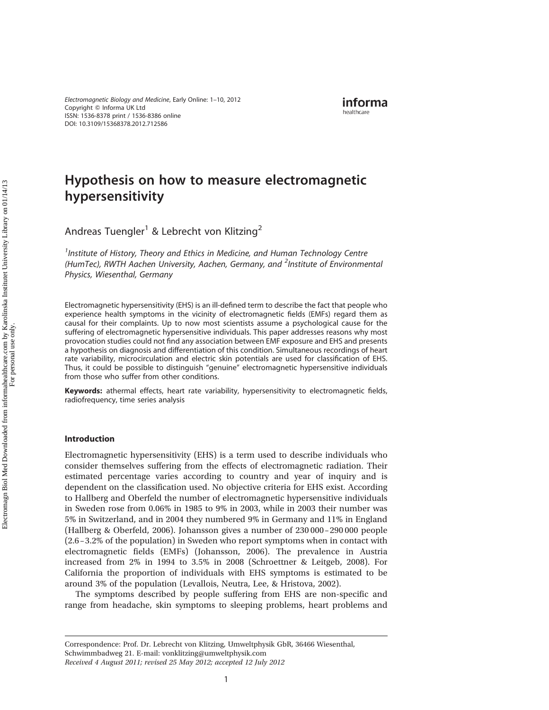Electromagnetic Biology and Medicine, Early Online: 1–10, 2012 Copyright © Informa UK Ltd ISSN: 1536-8378 print / 1536-8386 online DOI: 10.3109/15368378.2012.712586

### informa healthcare

# Hypothesis on how to measure electromagnetic hypersensitivity

Andreas Tuengler<sup>1</sup> & Lebrecht von Klitzing<sup>2</sup>

<sup>1</sup>Institute of History, Theory and Ethics in Medicine, and Human Technology Centre (HumTec), RWTH Aachen University, Aachen, Germany, and <sup>2</sup>Institute of Environmental Physics, Wiesenthal, Germany

Electromagnetic hypersensitivity (EHS) is an ill-defined term to describe the fact that people who experience health symptoms in the vicinity of electromagnetic fields (EMFs) regard them as causal for their complaints. Up to now most scientists assume a psychological cause for the suffering of electromagnetic hypersensitive individuals. This paper addresses reasons why most provocation studies could not find any association between EMF exposure and EHS and presents a hypothesis on diagnosis and differentiation of this condition. Simultaneous recordings of heart rate variability, microcirculation and electric skin potentials are used for classification of EHS. Thus, it could be possible to distinguish "genuine" electromagnetic hypersensitive individuals from those who suffer from other conditions.

Keywords: athermal effects, heart rate variability, hypersensitivity to electromagnetic fields, radiofrequency, time series analysis

#### Introduction

Electromagnetic hypersensitivity (EHS) is a term used to describe individuals who consider themselves suffering from the effects of electromagnetic radiation. Their estimated percentage varies according to country and year of inquiry and is dependent on the classification used. No objective criteria for EHS exist. According to Hallberg and Oberfeld the number of electromagnetic hypersensitive individuals in Sweden rose from 0.06% in 1985 to 9% in 2003, while in 2003 their number was 5% in Switzerland, and in 2004 they numbered 9% in Germany and 11% in England (Hallberg & Oberfeld, 2006). Johansson gives a number of 230 000 –290 000 people (2.6–3.2% of the population) in Sweden who report symptoms when in contact with electromagnetic fields (EMFs) (Johansson, 2006). The prevalence in Austria increased from 2% in 1994 to 3.5% in 2008 (Schroettner & Leitgeb, 2008). For California the proportion of individuals with EHS symptoms is estimated to be around 3% of the population (Levallois, Neutra, Lee, & Hristova, 2002).

The symptoms described by people suffering from EHS are non-specific and range from headache, skin symptoms to sleeping problems, heart problems and

Correspondence: Prof. Dr. Lebrecht von Klitzing, Umweltphysik GbR, 36466 Wiesenthal, Schwimmbadweg 21. E-mail: vonklitzing@umweltphysik.com Received 4 August 2011; revised 25 May 2012; accepted 12 July 2012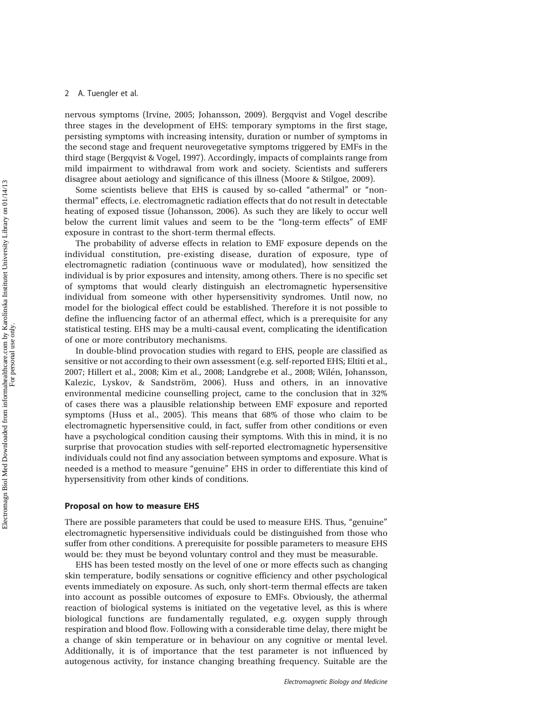nervous symptoms (Irvine, 2005; Johansson, 2009). Bergqvist and Vogel describe three stages in the development of EHS: temporary symptoms in the first stage, persisting symptoms with increasing intensity, duration or number of symptoms in the second stage and frequent neurovegetative symptoms triggered by EMFs in the third stage (Bergqvist & Vogel, 1997). Accordingly, impacts of complaints range from mild impairment to withdrawal from work and society. Scientists and sufferers disagree about aetiology and significance of this illness (Moore & Stilgoe, 2009).

Some scientists believe that EHS is caused by so-called "athermal" or "nonthermal" effects, i.e. electromagnetic radiation effects that do not result in detectable heating of exposed tissue (Johansson, 2006). As such they are likely to occur well below the current limit values and seem to be the "long-term effects" of EMF exposure in contrast to the short-term thermal effects.

The probability of adverse effects in relation to EMF exposure depends on the individual constitution, pre-existing disease, duration of exposure, type of electromagnetic radiation (continuous wave or modulated), how sensitized the individual is by prior exposures and intensity, among others. There is no specific set of symptoms that would clearly distinguish an electromagnetic hypersensitive individual from someone with other hypersensitivity syndromes. Until now, no model for the biological effect could be established. Therefore it is not possible to define the influencing factor of an athermal effect, which is a prerequisite for any statistical testing. EHS may be a multi-causal event, complicating the identification of one or more contributory mechanisms.

In double-blind provocation studies with regard to EHS, people are classified as sensitive or not according to their own assessment (e.g. self-reported EHS; Eltiti et al., 2007; Hillert et al., 2008; Kim et al., 2008; Landgrebe et al., 2008; Wilén, Johansson, Kalezic, Lyskov, & Sandström, 2006). Huss and others, in an innovative environmental medicine counselling project, came to the conclusion that in 32% of cases there was a plausible relationship between EMF exposure and reported symptoms (Huss et al., 2005). This means that 68% of those who claim to be electromagnetic hypersensitive could, in fact, suffer from other conditions or even have a psychological condition causing their symptoms. With this in mind, it is no surprise that provocation studies with self-reported electromagnetic hypersensitive individuals could not find any association between symptoms and exposure. What is needed is a method to measure "genuine" EHS in order to differentiate this kind of hypersensitivity from other kinds of conditions.

#### Proposal on how to measure EHS

There are possible parameters that could be used to measure EHS. Thus, "genuine" electromagnetic hypersensitive individuals could be distinguished from those who suffer from other conditions. A prerequisite for possible parameters to measure EHS would be: they must be beyond voluntary control and they must be measurable.

EHS has been tested mostly on the level of one or more effects such as changing skin temperature, bodily sensations or cognitive efficiency and other psychological events immediately on exposure. As such, only short-term thermal effects are taken into account as possible outcomes of exposure to EMFs. Obviously, the athermal reaction of biological systems is initiated on the vegetative level, as this is where biological functions are fundamentally regulated, e.g. oxygen supply through respiration and blood flow. Following with a considerable time delay, there might be a change of skin temperature or in behaviour on any cognitive or mental level. Additionally, it is of importance that the test parameter is not influenced by autogenous activity, for instance changing breathing frequency. Suitable are the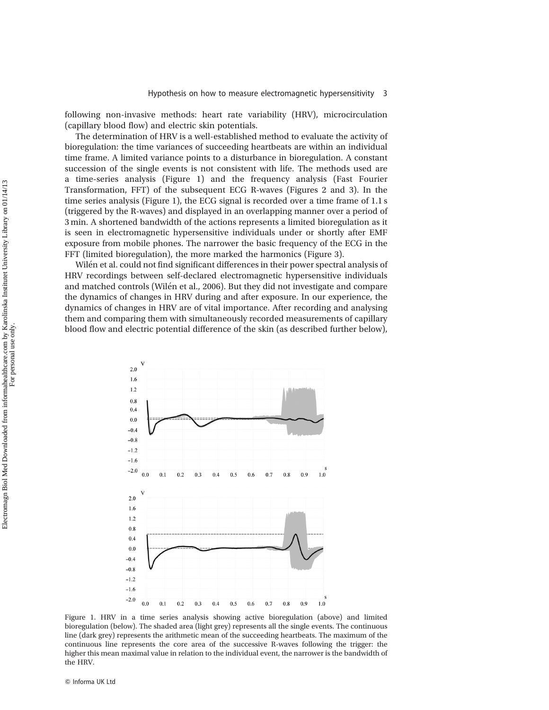following non-invasive methods: heart rate variability (HRV), microcirculation (capillary blood flow) and electric skin potentials.

The determination of HRV is a well-established method to evaluate the activity of bioregulation: the time variances of succeeding heartbeats are within an individual time frame. A limited variance points to a disturbance in bioregulation. A constant succession of the single events is not consistent with life. The methods used are a time-series analysis (Figure 1) and the frequency analysis (Fast Fourier Transformation, FFT) of the subsequent ECG R-waves (Figures 2 and 3). In the time series analysis (Figure 1), the ECG signal is recorded over a time frame of 1.1 s (triggered by the R-waves) and displayed in an overlapping manner over a period of 3 min. A shortened bandwidth of the actions represents a limited bioregulation as it is seen in electromagnetic hypersensitive individuals under or shortly after EMF exposure from mobile phones. The narrower the basic frequency of the ECG in the FFT (limited bioregulation), the more marked the harmonics (Figure 3).

Wilén et al. could not find significant differences in their power spectral analysis of HRV recordings between self-declared electromagnetic hypersensitive individuals and matched controls (Wilén et al., 2006). But they did not investigate and compare the dynamics of changes in HRV during and after exposure. In our experience, the dynamics of changes in HRV are of vital importance. After recording and analysing them and comparing them with simultaneously recorded measurements of capillary blood flow and electric potential difference of the skin (as described further below),



Figure 1. HRV in a time series analysis showing active bioregulation (above) and limited bioregulation (below). The shaded area (light grey) represents all the single events. The continuous line (dark grey) represents the arithmetic mean of the succeeding heartbeats. The maximum of the continuous line represents the core area of the successive R-waves following the trigger: the higher this mean maximal value in relation to the individual event, the narrower is the bandwidth of the HRV.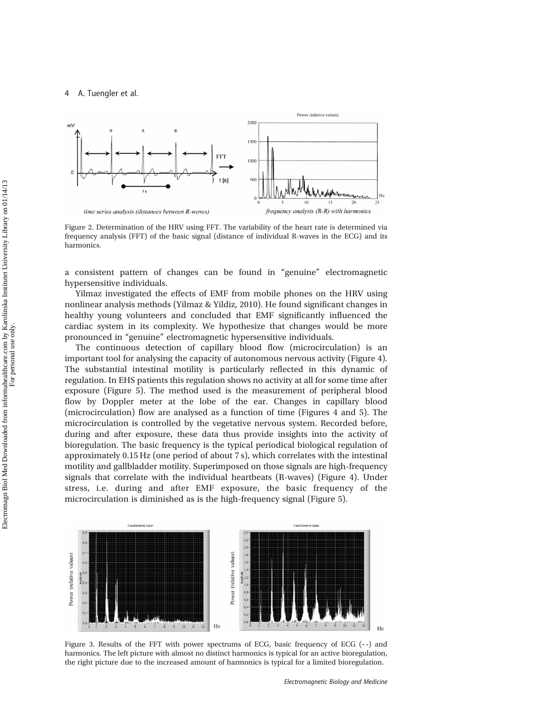

Figure 2. Determination of the HRV using FFT. The variability of the heart rate is determined via frequency analysis (FFT) of the basic signal (distance of individual R-waves in the ECG) and its harmonics.

a consistent pattern of changes can be found in "genuine" electromagnetic hypersensitive individuals.

Yilmaz investigated the effects of EMF from mobile phones on the HRV using nonlinear analysis methods (Yilmaz & Yildiz, 2010). He found significant changes in healthy young volunteers and concluded that EMF significantly influenced the cardiac system in its complexity. We hypothesize that changes would be more pronounced in "genuine" electromagnetic hypersensitive individuals.

The continuous detection of capillary blood flow (microcirculation) is an important tool for analysing the capacity of autonomous nervous activity (Figure 4). The substantial intestinal motility is particularly reflected in this dynamic of regulation. In EHS patients this regulation shows no activity at all for some time after exposure (Figure 5). The method used is the measurement of peripheral blood flow by Doppler meter at the lobe of the ear. Changes in capillary blood (microcirculation) flow are analysed as a function of time (Figures 4 and 5). The microcirculation is controlled by the vegetative nervous system. Recorded before, during and after exposure, these data thus provide insights into the activity of bioregulation. The basic frequency is the typical periodical biological regulation of approximately 0.15 Hz (one period of about 7 s), which correlates with the intestinal motility and gallbladder motility. Superimposed on those signals are high-frequency signals that correlate with the individual heartbeats (R-waves) (Figure 4). Under stress, i.e. during and after EMF exposure, the basic frequency of the microcirculation is diminished as is the high-frequency signal (Figure 5).



Figure 3. Results of the FFT with power spectrums of ECG, basic frequency of ECG (- -) and harmonics. The left picture with almost no distinct harmonics is typical for an active bioregulation, the right picture due to the increased amount of harmonics is typical for a limited bioregulation.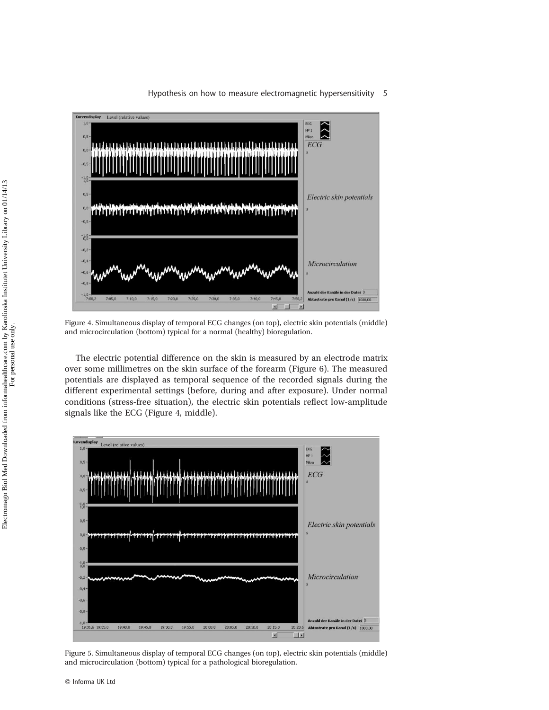

Hypothesis on how to measure electromagnetic hypersensitivity 5

Figure 4. Simultaneous display of temporal ECG changes (on top), electric skin potentials (middle) and microcirculation (bottom) typical for a normal (healthy) bioregulation.

The electric potential difference on the skin is measured by an electrode matrix over some millimetres on the skin surface of the forearm (Figure 6). The measured potentials are displayed as temporal sequence of the recorded signals during the different experimental settings (before, during and after exposure). Under normal conditions (stress-free situation), the electric skin potentials reflect low-amplitude signals like the ECG (Figure 4, middle).



Figure 5. Simultaneous display of temporal ECG changes (on top), electric skin potentials (middle) and microcirculation (bottom) typical for a pathological bioregulation.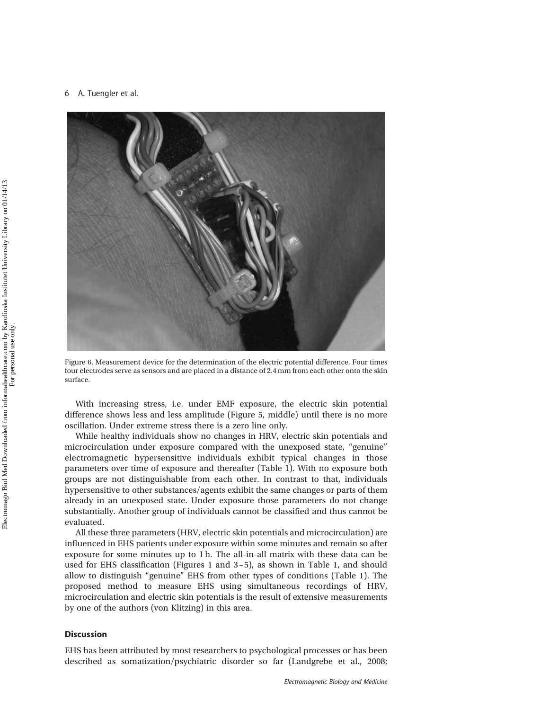

Figure 6. Measurement device for the determination of the electric potential difference. Four times four electrodes serve as sensors and are placed in a distance of 2.4 mm from each other onto the skin surface.

With increasing stress, i.e. under EMF exposure, the electric skin potential difference shows less and less amplitude (Figure 5, middle) until there is no more oscillation. Under extreme stress there is a zero line only.

While healthy individuals show no changes in HRV, electric skin potentials and microcirculation under exposure compared with the unexposed state, "genuine" electromagnetic hypersensitive individuals exhibit typical changes in those parameters over time of exposure and thereafter (Table 1). With no exposure both groups are not distinguishable from each other. In contrast to that, individuals hypersensitive to other substances/agents exhibit the same changes or parts of them already in an unexposed state. Under exposure those parameters do not change substantially. Another group of individuals cannot be classified and thus cannot be evaluated.

All these three parameters (HRV, electric skin potentials and microcirculation) are influenced in EHS patients under exposure within some minutes and remain so after exposure for some minutes up to 1 h. The all-in-all matrix with these data can be used for EHS classification (Figures 1 and 3–5), as shown in Table 1, and should allow to distinguish "genuine" EHS from other types of conditions (Table 1). The proposed method to measure EHS using simultaneous recordings of HRV, microcirculation and electric skin potentials is the result of extensive measurements by one of the authors (von Klitzing) in this area.

#### **Discussion**

EHS has been attributed by most researchers to psychological processes or has been described as somatization/psychiatric disorder so far (Landgrebe et al., 2008;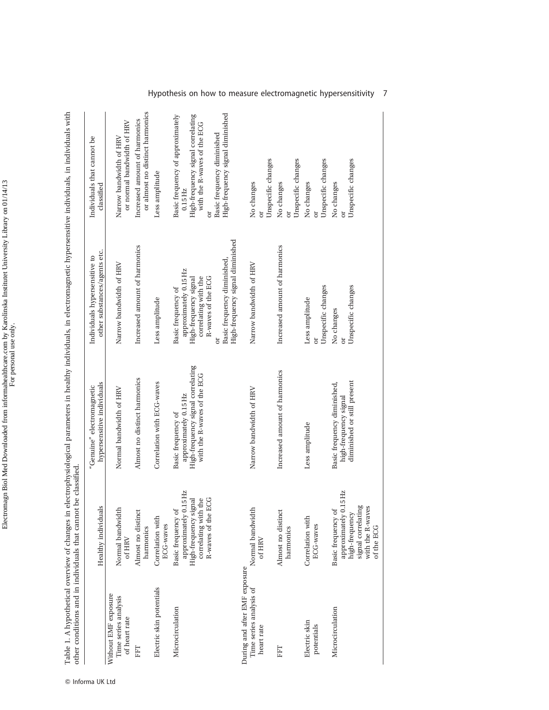| ĺ<br>$\ddot{\phantom{0}}$<br>i<br>֚֚֚֬<br>$\frac{1}{2}$<br>I<br>Ĭ<br>ļ<br>$= 0.1170$<br>i<br>i |
|------------------------------------------------------------------------------------------------|
|------------------------------------------------------------------------------------------------|

| ١<br>֖֖֖֖֖֧ׅ֖֧ׅ֚֚֚֚֚֚֚֚֚֚֚֚֚֚֚֚֚֚֚֚֚֚֚֚֚֚֚֚֬֝֝֬֝֓֬֓֬֓֬֝֓֬֝֓֬֝֓֬ |  |
|-----------------------------------------------------------------|--|
| j                                                               |  |
|                                                                 |  |
|                                                                 |  |
|                                                                 |  |
|                                                                 |  |
|                                                                 |  |
|                                                                 |  |
|                                                                 |  |
|                                                                 |  |
|                                                                 |  |
|                                                                 |  |
|                                                                 |  |
|                                                                 |  |
|                                                                 |  |
|                                                                 |  |
|                                                                 |  |
|                                                                 |  |
|                                                                 |  |
|                                                                 |  |
|                                                                 |  |
| $\overline{a}$                                                  |  |
|                                                                 |  |
|                                                                 |  |
|                                                                 |  |
|                                                                 |  |
| י<br>י                                                          |  |
|                                                                 |  |
|                                                                 |  |
|                                                                 |  |
|                                                                 |  |
|                                                                 |  |
| I                                                               |  |
|                                                                 |  |
| I<br>i                                                          |  |
|                                                                 |  |
| ֖֖ׅׅׅ֧ׅ֧ׅ֖֧֚֚֚֚֚֚֚֚֚֚֚֚֚֚֚֚֚֚֚֚֚֚֚֚֚֚֚֚֚֚֚֚֡֡֡֓֡֡֓֡֡֓֡֡֓֞֝֬֝֬֞  |  |
| Í<br>l<br>)<br>l                                                |  |
| $\mathbf{r}$<br>l                                               |  |
| ١                                                               |  |
| I                                                               |  |
| Ś<br>¢                                                          |  |
| I<br>ļ                                                          |  |
| i                                                               |  |
|                                                                 |  |
| ・・マー・セーク ミニュー<br>;<br>;                                         |  |
| C C THINK                                                       |  |
|                                                                 |  |
| Ĭ<br>i                                                          |  |
| 77770000<br>$\frac{1}{2}$<br>l                                  |  |
|                                                                 |  |
| <br>֚֚֚֬<br>֚<br>ś<br>١                                         |  |
| l<br>j                                                          |  |

|                                                                        | S<br>Healthy individual                                                                                                        | hypersensitive individuals<br>"Genuine" electromagnetic                                                         | other substances/agents etc.<br>Individuals hypersensitive to                                                                                                                              | Individuals that cannot be<br>classified                                                                                                                                                 |
|------------------------------------------------------------------------|--------------------------------------------------------------------------------------------------------------------------------|-----------------------------------------------------------------------------------------------------------------|--------------------------------------------------------------------------------------------------------------------------------------------------------------------------------------------|------------------------------------------------------------------------------------------------------------------------------------------------------------------------------------------|
| Without EMF exposure<br>l'ime series analysis<br>of heart rate         | Normal bandwidth<br>of HRV                                                                                                     | Normal bandwidth of HRV                                                                                         | Narrow bandwidth of HRV                                                                                                                                                                    | or normal bandwidth of HRV<br>Narrow bandwidth of HRV                                                                                                                                    |
| FFT                                                                    | Almost no distinct<br>harmonics                                                                                                | Almost no distinct harmonics                                                                                    | Increased amount of harmonics                                                                                                                                                              | or almost no distinct harmonics<br>Increased amount of harmonics                                                                                                                         |
| Electric skin potentials                                               | Correlation with<br>ECG-waves                                                                                                  | Correlation with ECG-waves                                                                                      | Less amplitude                                                                                                                                                                             | Less amplitude                                                                                                                                                                           |
| Microcirculation                                                       | $0.15$ Hz<br>ECG<br>correlating with the<br>High-frequency signal<br>Basic frequency of<br>R-waves of the<br>approximately (   | High-frequency signal correlating<br>with the R-waves of the ECG<br>approximately 0.15 Hz<br>Basic frequency of | High-frequency signal diminished<br>Basic frequency diminished,<br>approximately 0.15 Hz<br>R-waves of the ECG<br>correlating with the<br>High-frequency signal<br>Basic frequency of<br>ă | High-frequency signal diminished<br>High-frequency signal correlating<br>Basic frequency of approximately<br>with the R-waves of the ECG<br>Basic frequency diminished<br>$0.15$ Hz<br>ă |
| During and after EMF exposure<br>Time series analysis of<br>heart rate | Normal bandwidth<br>of $HRV$                                                                                                   | Narrow bandwidth of HRV                                                                                         | Narrow bandwidth of HRV                                                                                                                                                                    | Unspecific changes<br>No changes<br>öľ                                                                                                                                                   |
| EET                                                                    | Almost no distinct<br>harmonics                                                                                                | Increased amount of harmonics                                                                                   | Increased amount of harmonics                                                                                                                                                              | Unspecific changes<br>No changes<br>ð                                                                                                                                                    |
| Electric skin<br>potentials                                            | Correlation with<br><b>ECG-waves</b>                                                                                           | Less amplitude                                                                                                  | Unspecific changes<br>Less amplitude<br>ö                                                                                                                                                  | Unspecific changes<br>No changes<br>ð                                                                                                                                                    |
| Microcirculation                                                       | approximately 0.15 Hz<br>ġ<br>Š.<br>Basic frequency of<br>high-frequency<br>signal correlatin<br>with the R-wave<br>of the ECG | diminished or still present<br>Basic frequency diminished,<br>high-frequency signal                             | Unspecific changes<br>No changes<br>ð                                                                                                                                                      | Unspecific changes<br>No changes<br>ð                                                                                                                                                    |

## Hypothesis on how to measure electromagnetic hypersensitivity 7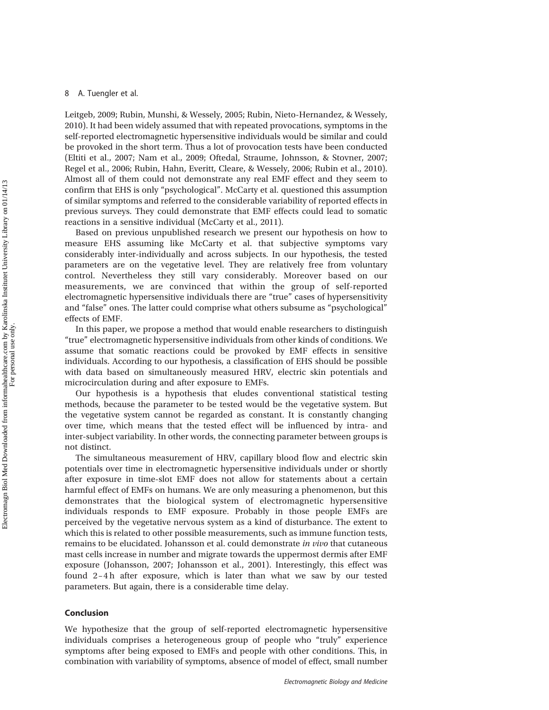Leitgeb, 2009; Rubin, Munshi, & Wessely, 2005; Rubin, Nieto-Hernandez, & Wessely, 2010). It had been widely assumed that with repeated provocations, symptoms in the self-reported electromagnetic hypersensitive individuals would be similar and could be provoked in the short term. Thus a lot of provocation tests have been conducted (Eltiti et al., 2007; Nam et al., 2009; Oftedal, Straume, Johnsson, & Stovner, 2007; Regel et al., 2006; Rubin, Hahn, Everitt, Cleare, & Wessely, 2006; Rubin et al., 2010). Almost all of them could not demonstrate any real EMF effect and they seem to confirm that EHS is only "psychological". McCarty et al. questioned this assumption of similar symptoms and referred to the considerable variability of reported effects in previous surveys. They could demonstrate that EMF effects could lead to somatic reactions in a sensitive individual (McCarty et al., 2011).

Based on previous unpublished research we present our hypothesis on how to measure EHS assuming like McCarty et al. that subjective symptoms vary considerably inter-individually and across subjects. In our hypothesis, the tested parameters are on the vegetative level. They are relatively free from voluntary control. Nevertheless they still vary considerably. Moreover based on our measurements, we are convinced that within the group of self-reported electromagnetic hypersensitive individuals there are "true" cases of hypersensitivity and "false" ones. The latter could comprise what others subsume as "psychological" effects of EMF.

In this paper, we propose a method that would enable researchers to distinguish "true" electromagnetic hypersensitive individuals from other kinds of conditions. We assume that somatic reactions could be provoked by EMF effects in sensitive individuals. According to our hypothesis, a classification of EHS should be possible with data based on simultaneously measured HRV, electric skin potentials and microcirculation during and after exposure to EMFs.

Our hypothesis is a hypothesis that eludes conventional statistical testing methods, because the parameter to be tested would be the vegetative system. But the vegetative system cannot be regarded as constant. It is constantly changing over time, which means that the tested effect will be influenced by intra- and inter-subject variability. In other words, the connecting parameter between groups is not distinct.

The simultaneous measurement of HRV, capillary blood flow and electric skin potentials over time in electromagnetic hypersensitive individuals under or shortly after exposure in time-slot EMF does not allow for statements about a certain harmful effect of EMFs on humans. We are only measuring a phenomenon, but this demonstrates that the biological system of electromagnetic hypersensitive individuals responds to EMF exposure. Probably in those people EMFs are perceived by the vegetative nervous system as a kind of disturbance. The extent to which this is related to other possible measurements, such as immune function tests, remains to be elucidated. Johansson et al. could demonstrate in vivo that cutaneous mast cells increase in number and migrate towards the uppermost dermis after EMF exposure (Johansson, 2007; Johansson et al., 2001). Interestingly, this effect was found 2–4 h after exposure, which is later than what we saw by our tested parameters. But again, there is a considerable time delay.

#### Conclusion

We hypothesize that the group of self-reported electromagnetic hypersensitive individuals comprises a heterogeneous group of people who "truly" experience symptoms after being exposed to EMFs and people with other conditions. This, in combination with variability of symptoms, absence of model of effect, small number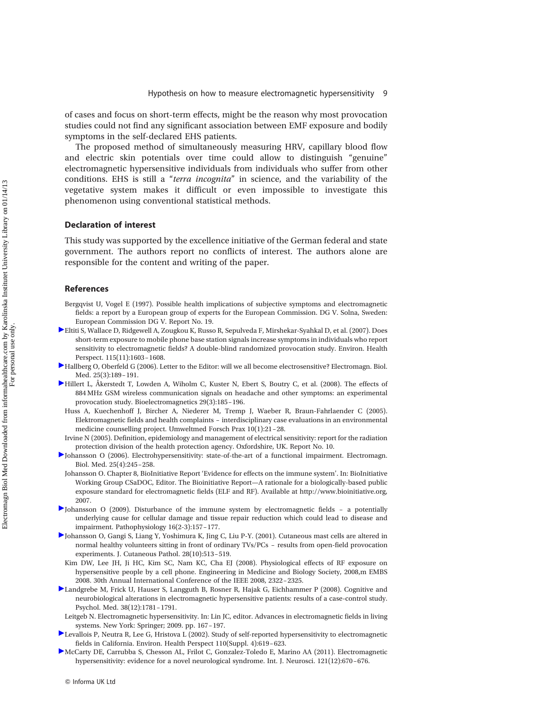of cases and focus on short-term effects, might be the reason why most provocation studies could not find any significant association between EMF exposure and bodily symptoms in the self-declared EHS patients.

The proposed method of simultaneously measuring HRV, capillary blood flow and electric skin potentials over time could allow to distinguish "genuine" electromagnetic hypersensitive individuals from individuals who suffer from other conditions. EHS is still a "terra incognita" in science, and the variability of the vegetative system makes it difficult or even impossible to investigate this phenomenon using conventional statistical methods.

#### Declaration of interest

This study was supported by the excellence initiative of the German federal and state government. The authors report no conflicts of interest. The authors alone are responsible for the content and writing of the paper.

#### References

- Bergqvist U, Vogel E (1997). Possible health implications of subjective symptoms and electromagnetic fields: a report by a European group of experts for the European Commission. DG V. Solna, Sweden: European Commission DG V. Report No. 19.
- Eltiti S, Wallace D, Ridgewell A, Zougkou K, Russo R, Sepulveda F, Mirshekar-Syahkal D, et al. (2007). Does short-term exposure to mobile phone base station signals increase symptoms in individuals who report sensitivity to electromagnetic fields? A double-blind randomized provocation study. Environ. Health Perspect. 115(11):1603–1608.
- Hallberg O, Oberfeld G (2006). Letter to the Editor: will we all become electrosensitive? Electromagn. Biol. Med. 25(3):189–191.
- Hillert L, Åkerstedt T, Lowden A, Wiholm C, Kuster N, Ebert S, Boutry C, et al. (2008). The effects of 884 MHz GSM wireless communication signals on headache and other symptoms: an experimental provocation study. Bioelectromagnetics 29(3):185–196.
	- Huss A, Kuechenhoff J, Bircher A, Niederer M, Tremp J, Waeber R, Braun-Fahrlaender C (2005). Elektromagnetic fields and health complaints – interdisciplinary case evaluations in an environmental medicine counselling project. Umweltmed Forsch Prax 10(1):21–28.
	- Irvine N (2005). Definition, epidemiology and management of electrical sensitivity: report for the radiation protection division of the health protection agency. Oxfordshire, UK. Report No. 10.
- Johansson O (2006). Electrohypersensitivity: state-of-the-art of a functional impairment. Electromagn. Biol. Med. 25(4):245–258.
- Johansson O. Chapter 8, BioInitiative Report 'Evidence for effects on the immune system'. In: BioInitiative Working Group CSaDOC, Editor. The Bioinitiative Report—A rationale for a biologically-based public exposure standard for electromagnetic fields (ELF and RF). Available at http://www.bioinitiative.org, 2007.
- Johansson O (2009). Disturbance of the immune system by electromagnetic fields a potentially underlying cause for cellular damage and tissue repair reduction which could lead to disease and impairment. Pathophysiology 16(2-3):157–177.
- Johansson O, Gangi S, Liang Y, Yoshimura K, Jing C, Liu P-Y. (2001). Cutaneous mast cells are altered in normal healthy volunteers sitting in front of ordinary TVs/PCs – results from open-field provocation experiments. J. Cutaneous Pathol. 28(10):513–519.
	- Kim DW, Lee JH, Ji HC, Kim SC, Nam KC, Cha EJ (2008). Physiological effects of RF exposure on hypersensitive people by a cell phone. Engineering in Medicine and Biology Society, 2008,m EMBS 2008. 30th Annual International Conference of the IEEE 2008, 2322–2325.
- Landgrebe M, Frick U, Hauser S, Langguth B, Rosner R, Hajak G, Eichhammer P (2008). Cognitive and neurobiological alterations in electromagnetic hypersensitive patients: results of a case-control study. Psychol. Med. 38(12):1781–1791.
- Leitgeb N. Electromagnetic hypersensitivity. In: Lin JC, editor. Advances in electromagnetic fields in living systems. New York: Springer; 2009. pp. 167–197.
- Levallois P, Neutra R, Lee G, Hristova L (2002). Study of self-reported hypersensitivity to electromagnetic fields in California. Environ. Health Perspect 110(Suppl. 4):619–623.
- McCarty DE, Carrubba S, Chesson AL, Frilot C, Gonzalez-Toledo E, Marino AA (2011). Electromagnetic hypersensitivity: evidence for a novel neurological syndrome. Int. J. Neurosci. 121(12):670–676.